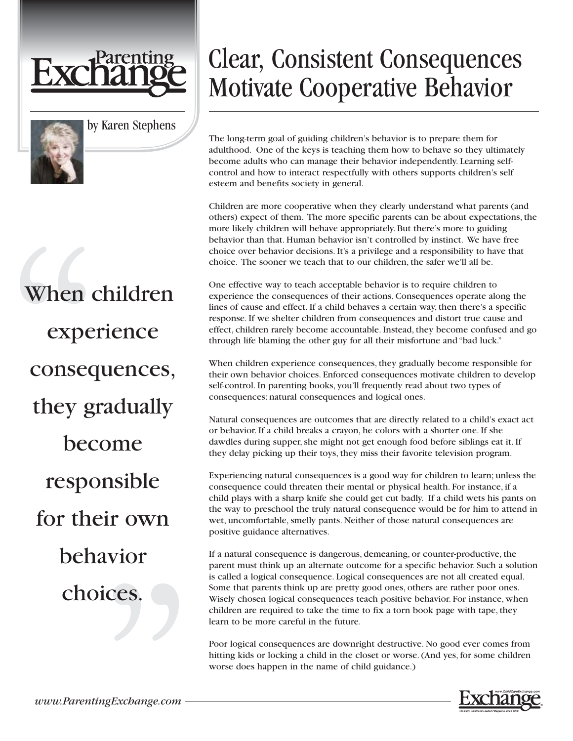



by Karen Stephens

## Clear, Consistent Consequences Motivate Cooperative Behavior

The long-term goal of guiding children's behavior is to prepare them for adulthood. One of the keys is teaching them how to behave so they ultimately become adults who can manage their behavior independently. Learning selfcontrol and how to interact respectfully with others supports children's self esteem and benefits society in general.

Children are more cooperative when they clearly understand what parents (and others) expect of them. The more specific parents can be about expectations, the more likely children will behave appropriately. But there's more to guiding behavior than that. Human behavior isn't controlled by instinct. We have free choice over behavior decisions. It's a privilege and a responsibility to have that choice. The sooner we teach that to our children, the safer we'll all be.

One effective way to teach acceptable behavior is to require children to experience the consequences of their actions. Consequences operate along the lines of cause and effect. If a child behaves a certain way, then there's a specific response. If we shelter children from consequences and distort true cause and effect, children rarely become accountable. Instead, they become confused and go through life blaming the other guy for all their misfortune and "bad luck."

When children experience consequences, they gradually become responsible for their own behavior choices. Enforced consequences motivate children to develop self-control. In parenting books, you'll frequently read about two types of consequences: natural consequences and logical ones.

Natural consequences are outcomes that are directly related to a child's exact act or behavior. If a child breaks a crayon, he colors with a shorter one. If she dawdles during supper, she might not get enough food before siblings eat it. If they delay picking up their toys, they miss their favorite television program.

Experiencing natural consequences is a good way for children to learn; unless the consequence could threaten their mental or physical health. For instance, if a child plays with a sharp knife she could get cut badly. If a child wets his pants on the way to preschool the truly natural consequence would be for him to attend in wet, uncomfortable, smelly pants. Neither of those natural consequences are positive guidance alternatives.

If a natural consequence is dangerous, demeaning, or counter-productive, the parent must think up an alternate outcome for a specific behavior. Such a solution is called a logical consequence. Logical consequences are not all created equal. Some that parents think up are pretty good ones, others are rather poor ones. Wisely chosen logical consequences teach positive behavior. For instance, when children are required to take the time to fix a torn book page with tape, they learn to be more careful in the future.

Poor logical consequences are downright destructive. No good ever comes from hitting kids or locking a child in the closet or worse. (And yes, for some children worse does happen in the name of child guidance.)



When children experience consequences, they gradually become responsible for their own behavior choices.